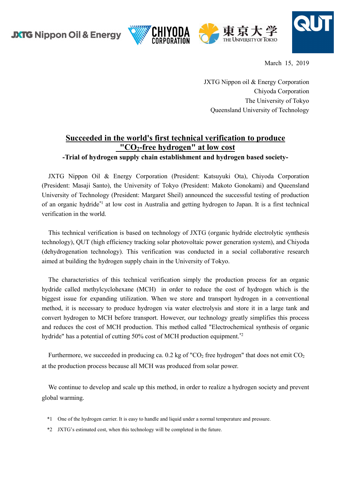



March 15, 2019

JXTG Nippon oil & Energy Corporation Chiyoda Corporation The University of Tokyo Queensland University of Technology

## **Succeeded in the world's first technical verification to produce "CO2-free hydrogen" at low cost -Trial of hydrogen supply chain establishment and hydrogen based society-**

JXTG Nippon Oil & Energy Corporation (President: Katsuyuki Ota), Chiyoda Corporation (President: Masaji Santo), the University of Tokyo (President: Makoto Gonokami) and Queensland University of Technology (President: Margaret Sheil) announced the successful testing of production of an organic hydride\*1 at low cost in Australia and getting hydrogen to Japan. It is a first technical verification in the world.

This technical verification is based on technology of JXTG (organic hydride electrolytic synthesis technology), QUT (high efficiency tracking solar photovoltaic power generation system), and Chiyoda (dehydrogenation technology). This verification was conducted in a social collaborative research aimed at building the hydrogen supply chain in the University of Tokyo.

The characteristics of this technical verification simply the production process for an organic hydride called methylcyclohexane (MCH) in order to reduce the cost of hydrogen which is the biggest issue for expanding utilization. When we store and transport hydrogen in a conventional method, it is necessary to produce hydrogen via water electrolysis and store it in a large tank and convert hydrogen to MCH before transport. However, our technology greatly simplifies this process and reduces the cost of MCH production. This method called "Electrochemical synthesis of organic hydride" has a potential of cutting 50% cost of MCH production equipment.<sup>\*2</sup>

Furthermore, we succeeded in producing ca.  $0.2$  kg of "CO<sub>2</sub> free hydrogen" that does not emit CO<sub>2</sub> at the production process because all MCH was produced from solar power.

We continue to develop and scale up this method, in order to realize a hydrogen society and prevent global warming.

- \*1 One of the hydrogen carrier. It is easy to handle and liquid under a normal temperature and pressure.
- \*2 JXTG's estimated cost, when this technology will be completed in the future.